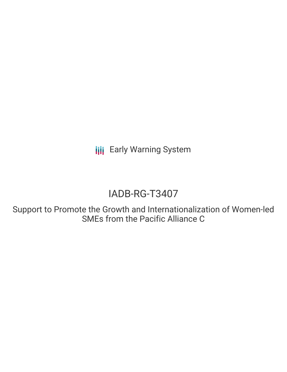**III** Early Warning System

# IADB-RG-T3407

Support to Promote the Growth and Internationalization of Women-led SMEs from the Pacific Alliance C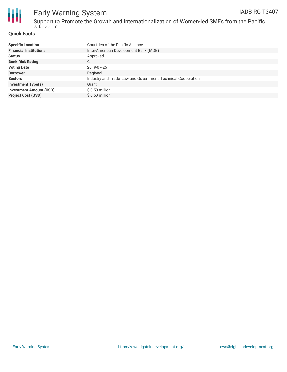

#### **Quick Facts**

| <b>Specific Location</b>       | <b>Countries of the Pacific Alliance</b>                      |
|--------------------------------|---------------------------------------------------------------|
| <b>Financial Institutions</b>  | Inter-American Development Bank (IADB)                        |
| <b>Status</b>                  | Approved                                                      |
| <b>Bank Risk Rating</b>        | C                                                             |
| <b>Voting Date</b>             | 2019-07-26                                                    |
| <b>Borrower</b>                | Regional                                                      |
| <b>Sectors</b>                 | Industry and Trade, Law and Government, Technical Cooperation |
| <b>Investment Type(s)</b>      | Grant                                                         |
| <b>Investment Amount (USD)</b> | \$ 0.50 million                                               |
| <b>Project Cost (USD)</b>      | $$0.50$ million                                               |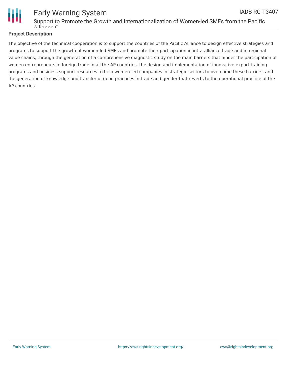

#### Early Warning System Support to Promote the Growth and Internationalization of Women-led SMEs from the Pacific Alliance C IADB-RG-T3407

### **Project Description**

The objective of the technical cooperation is to support the countries of the Pacific Alliance to design effective strategies and programs to support the growth of women-led SMEs and promote their participation in intra-alliance trade and in regional value chains, through the generation of a comprehensive diagnostic study on the main barriers that hinder the participation of women entrepreneurs in foreign trade in all the AP countries, the design and implementation of innovative export training programs and business support resources to help women-led companies in strategic sectors to overcome these barriers, and the generation of knowledge and transfer of good practices in trade and gender that reverts to the operational practice of the AP countries.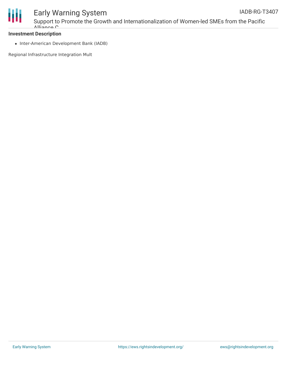

## Early Warning System

Support to Promote the Growth and Internationalization of Women-led SMEs from the Pacific Alliance C

#### **Investment Description**

• Inter-American Development Bank (IADB)

Regional Infrastructure Integration Mult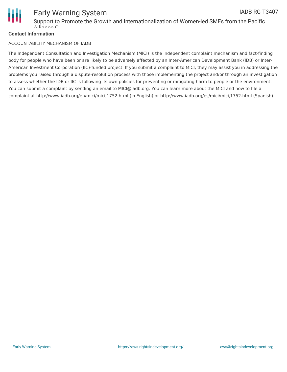

### **Contact Information**

#### ACCOUNTABILITY MECHANISM OF IADB

The Independent Consultation and Investigation Mechanism (MICI) is the independent complaint mechanism and fact-finding body for people who have been or are likely to be adversely affected by an Inter-American Development Bank (IDB) or Inter-American Investment Corporation (IIC)-funded project. If you submit a complaint to MICI, they may assist you in addressing the problems you raised through a dispute-resolution process with those implementing the project and/or through an investigation to assess whether the IDB or IIC is following its own policies for preventing or mitigating harm to people or the environment. You can submit a complaint by sending an email to MICI@iadb.org. You can learn more about the MICI and how to file a complaint at http://www.iadb.org/en/mici/mici,1752.html (in English) or http://www.iadb.org/es/mici/mici,1752.html (Spanish).